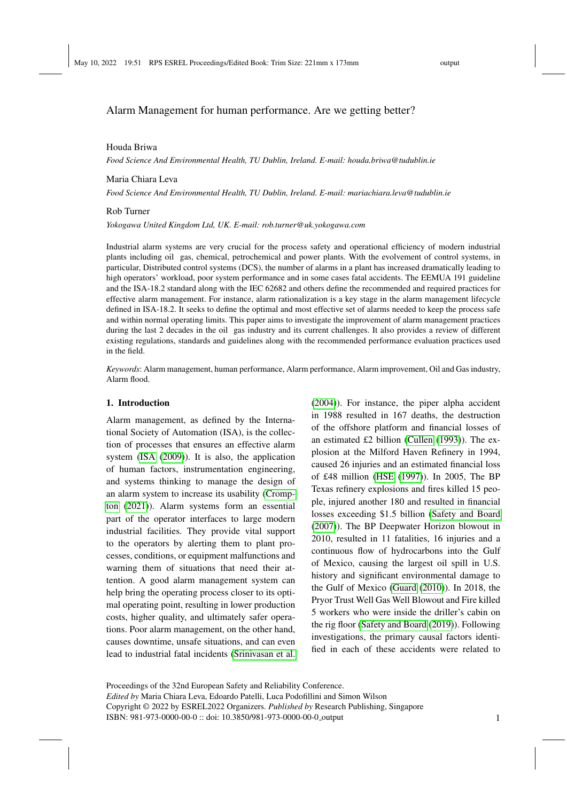#### Houda Briwa

*Food Science And Environmental Health, TU Dublin, Ireland. E-mail: houda.briwa@tudublin.ie*

#### Maria Chiara Leva

*Food Science And Environmental Health, TU Dublin, Ireland. E-mail: mariachiara.leva@tudublin.ie*

#### Rob Turner

*Yokogawa United Kingdom Ltd, UK. E-mail: rob.turner@uk.yokogawa.com*

Industrial alarm systems are very crucial for the process safety and operational efficiency of modern industrial plants including oil gas, chemical, petrochemical and power plants. With the evolvement of control systems, in particular, Distributed control systems (DCS), the number of alarms in a plant has increased dramatically leading to high operators' workload, poor system performance and in some cases fatal accidents. The EEMUA 191 guideline and the ISA-18.2 standard along with the IEC 62682 and others define the recommended and required practices for effective alarm management. For instance, alarm rationalization is a key stage in the alarm management lifecycle defined in ISA-18.2. It seeks to define the optimal and most effective set of alarms needed to keep the process safe and within normal operating limits. This paper aims to investigate the improvement of alarm management practices during the last 2 decades in the oil gas industry and its current challenges. It also provides a review of different existing regulations, standards and guidelines along with the recommended performance evaluation practices used in the field.

*Keywords*: Alarm management, human performance, Alarm performance, Alarm improvement, Oil and Gas industry, Alarm flood.

#### 1. Introduction

Alarm management, as defined by the International Society of Automation (ISA), is the collection of processes that ensures an effective alarm system [\(ISA](#page-9-0) [\(2009\)](#page-9-0)). It is also, the application of human factors, instrumentation engineering, and systems thinking to manage the design of an alarm system to increase its usability [\(Cromp](#page-9-1)[ton](#page-9-1) [\(2021\)](#page-9-1)). Alarm systems form an essential part of the operator interfaces to large modern industrial facilities. They provide vital support to the operators by alerting them to plant processes, conditions, or equipment malfunctions and warning them of situations that need their attention. A good alarm management system can help bring the operating process closer to its optimal operating point, resulting in lower production costs, higher quality, and ultimately safer operations. Poor alarm management, on the other hand, causes downtime, unsafe situations, and can even lead to industrial fatal incidents [\(Srinivasan et al.](#page-10-0)

[\(2004\)](#page-10-0)). For instance, the piper alpha accident in 1988 resulted in 167 deaths, the destruction of the offshore platform and financial losses of an estimated £2 billion [\(Cullen](#page-9-2) [\(1993\)](#page-9-2)). The explosion at the Milford Haven Refinery in 1994, caused 26 injuries and an estimated financial loss of £48 million [\(HSE](#page-9-3) [\(1997\)](#page-9-3)). In 2005, The BP Texas refinery explosions and fires killed 15 people, injured another 180 and resulted in financial losses exceeding \$1.5 billion [\(Safety and Board](#page-9-4) [\(2007\)](#page-9-4)). The BP Deepwater Horizon blowout in 2010, resulted in 11 fatalities, 16 injuries and a continuous flow of hydrocarbons into the Gulf of Mexico, causing the largest oil spill in U.S. history and significant environmental damage to the Gulf of Mexico [\(Guard](#page-9-5) [\(2010\)](#page-9-5)). In 2018, the Pryor Trust Well Gas Well Blowout and Fire killed 5 workers who were inside the driller's cabin on the rig floor [\(Safety and Board](#page-9-6) [\(2019\)](#page-9-6)). Following investigations, the primary causal factors identified in each of these accidents were related to

Proceedings of the 32nd European Safety and Reliability Conference.

*Edited by* Maria Chiara Leva, Edoardo Patelli, Luca Podofillini and Simon Wilson

Copyright © 2022 by ESREL2022 Organizers. *Published by* Research Publishing, Singapore ISBN: 981-973-0000-00-0 :: doi: 10.3850/981-973-0000-00-0 output 1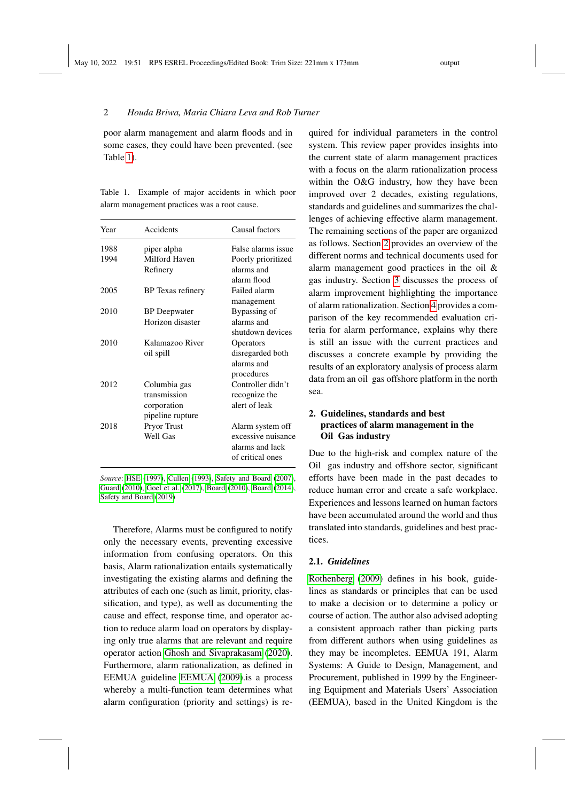poor alarm management and alarm floods and in some cases, they could have been prevented. (see Table [1\)](#page-1-0).

<span id="page-1-0"></span>Table 1. Example of major accidents in which poor alarm management practices was a root cause.

| Year | Accidents                                                       | Causal factors                                                                |
|------|-----------------------------------------------------------------|-------------------------------------------------------------------------------|
| 1988 | piper alpha                                                     | False alarms issue                                                            |
| 1994 | Milford Haven<br>Refinery                                       | Poorly prioritized<br>alarms and<br>alarm flood                               |
| 2005 | BP Texas refinery                                               | Failed alarm<br>management                                                    |
| 2010 | <b>BP</b> Deepwater                                             | Bypassing of                                                                  |
|      | Horizon disaster                                                | alarms and<br>shutdown devices                                                |
| 2010 | Kalamazoo River<br>oil spill                                    | Operators<br>disregarded both<br>alarms and<br>procedures                     |
| 2012 | Columbia gas<br>transmission<br>corporation<br>pipeline rupture | Controller didn't<br>recognize the<br>alert of leak                           |
| 2018 | <b>Pryor Trust</b><br><b>Well Gas</b>                           | Alarm system off<br>excessive nuisance<br>alarms and lack<br>of critical ones |

*Source*: [HSE](#page-9-3) [\(1997\)](#page-9-3), [Cullen](#page-9-2) [\(1993\)](#page-9-2), [Safety and Board](#page-9-4) [\(2007\)](#page-9-4), [Guard](#page-9-5) [\(2010\)](#page-9-5), [Goel et al.](#page-9-7) [\(2017\)](#page-9-7), [Board](#page-9-8) [\(2010\)](#page-9-8), [Board](#page-9-9) [\(2014\)](#page-9-9), [Safety and Board](#page-9-6) [\(2019\)](#page-9-6)

Therefore, Alarms must be configured to notify only the necessary events, preventing excessive information from confusing operators. On this basis, Alarm rationalization entails systematically investigating the existing alarms and defining the attributes of each one (such as limit, priority, classification, and type), as well as documenting the cause and effect, response time, and operator action to reduce alarm load on operators by displaying only true alarms that are relevant and require operator action [Ghosh and Sivaprakasam](#page-9-10) [\(2020\)](#page-9-10). Furthermore, alarm rationalization, as defined in EEMUA guideline [EEMUA](#page-9-11) [\(2009\)](#page-9-11).is a process whereby a multi-function team determines what alarm configuration (priority and settings) is re-

quired for individual parameters in the control system. This review paper provides insights into the current state of alarm management practices with a focus on the alarm rationalization process within the O&G industry, how they have been improved over 2 decades, existing regulations, standards and guidelines and summarizes the challenges of achieving effective alarm management. The remaining sections of the paper are organized as follows. Section [2](#page-1-1) provides an overview of the different norms and technical documents used for alarm management good practices in the oil & gas industry. Section [3](#page-2-0) discusses the process of alarm improvement highlighting the importance of alarm rationalization. Section [4](#page-5-0) provides a comparison of the key recommended evaluation criteria for alarm performance, explains why there is still an issue with the current practices and discusses a concrete example by providing the results of an exploratory analysis of process alarm data from an oil gas offshore platform in the north sea.

# <span id="page-1-1"></span>2. Guidelines, standards and best practices of alarm management in the Oil Gas industry

Due to the high-risk and complex nature of the Oil gas industry and offshore sector, significant efforts have been made in the past decades to reduce human error and create a safe workplace. Experiences and lessons learned on human factors have been accumulated around the world and thus translated into standards, guidelines and best practices.

## 2.1. *Guidelines*

[Rothenberg](#page-9-12) [\(2009\)](#page-9-12) defines in his book, guidelines as standards or principles that can be used to make a decision or to determine a policy or course of action. The author also advised adopting a consistent approach rather than picking parts from different authors when using guidelines as they may be incompletes. EEMUA 191, Alarm Systems: A Guide to Design, Management, and Procurement, published in 1999 by the Engineering Equipment and Materials Users' Association (EEMUA), based in the United Kingdom is the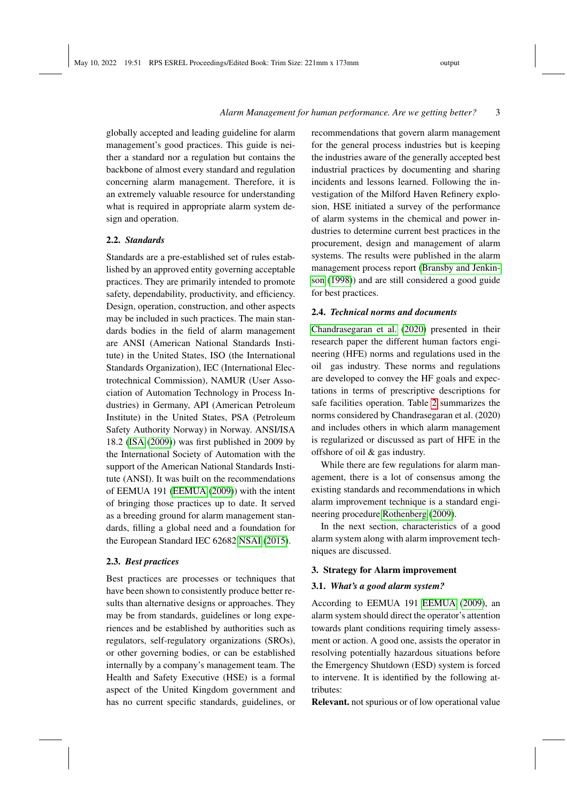globally accepted and leading guideline for alarm management's good practices. This guide is neither a standard nor a regulation but contains the backbone of almost every standard and regulation concerning alarm management. Therefore, it is an extremely valuable resource for understanding what is required in appropriate alarm system design and operation.

#### 2.2. *Standards*

Standards are a pre-established set of rules established by an approved entity governing acceptable practices. They are primarily intended to promote safety, dependability, productivity, and efficiency. Design, operation, construction, and other aspects may be included in such practices. The main standards bodies in the field of alarm management are ANSI (American National Standards Institute) in the United States, ISO (the International Standards Organization), IEC (International Electrotechnical Commission), NAMUR (User Association of Automation Technology in Process Industries) in Germany, API (American Petroleum Institute) in the United States, PSA (Petroleum Safety Authority Norway) in Norway. ANSI/ISA 18.2 [\(ISA](#page-9-0) [\(2009\)](#page-9-0)) was first published in 2009 by the International Society of Automation with the support of the American National Standards Institute (ANSI). It was built on the recommendations of EEMUA 191 [\(EEMUA](#page-9-11) [\(2009\)](#page-9-11)) with the intent of bringing those practices up to date. It served as a breeding ground for alarm management standards, filling a global need and a foundation for the European Standard IEC 62682 [NSAI](#page-9-13) [\(2015\)](#page-9-13).

#### 2.3. *Best practices*

Best practices are processes or techniques that have been shown to consistently produce better results than alternative designs or approaches. They may be from standards, guidelines or long experiences and be established by authorities such as regulators, self-regulatory organizations (SROs), or other governing bodies, or can be established internally by a company's management team. The Health and Safety Executive (HSE) is a formal aspect of the United Kingdom government and has no current specific standards, guidelines, or recommendations that govern alarm management for the general process industries but is keeping the industries aware of the generally accepted best industrial practices by documenting and sharing incidents and lessons learned. Following the investigation of the Milford Haven Refinery explosion, HSE initiated a survey of the performance of alarm systems in the chemical and power industries to determine current best practices in the procurement, design and management of alarm systems. The results were published in the alarm management process report [\(Bransby and Jenkin](#page-9-14)[son](#page-9-14) [\(1998\)](#page-9-14)) and are still considered a good guide for best practices.

#### 2.4. *Technical norms and documents*

[Chandrasegaran et al.](#page-9-15) [\(2020\)](#page-9-15) presented in their research paper the different human factors engineering (HFE) norms and regulations used in the oil gas industry. These norms and regulations are developed to convey the HF goals and expectations in terms of prescriptive descriptions for safe facilities operation. Table [2](#page-3-0) summarizes the norms considered by Chandrasegaran et al. (2020) and includes others in which alarm management is regularized or discussed as part of HFE in the offshore of oil & gas industry.

While there are few regulations for alarm management, there is a lot of consensus among the existing standards and recommendations in which alarm improvement technique is a standard engineering procedure [Rothenberg](#page-9-12) [\(2009\)](#page-9-12).

In the next section, characteristics of a good alarm system along with alarm improvement techniques are discussed.

## <span id="page-2-0"></span>3. Strategy for Alarm improvement

#### 3.1. *What's a good alarm system?*

According to EEMUA 191 [EEMUA](#page-9-11) [\(2009\)](#page-9-11), an alarm system should direct the operator's attention towards plant conditions requiring timely assessment or action. A good one, assists the operator in resolving potentially hazardous situations before the Emergency Shutdown (ESD) system is forced to intervene. It is identified by the following attributes:

Relevant. not spurious or of low operational value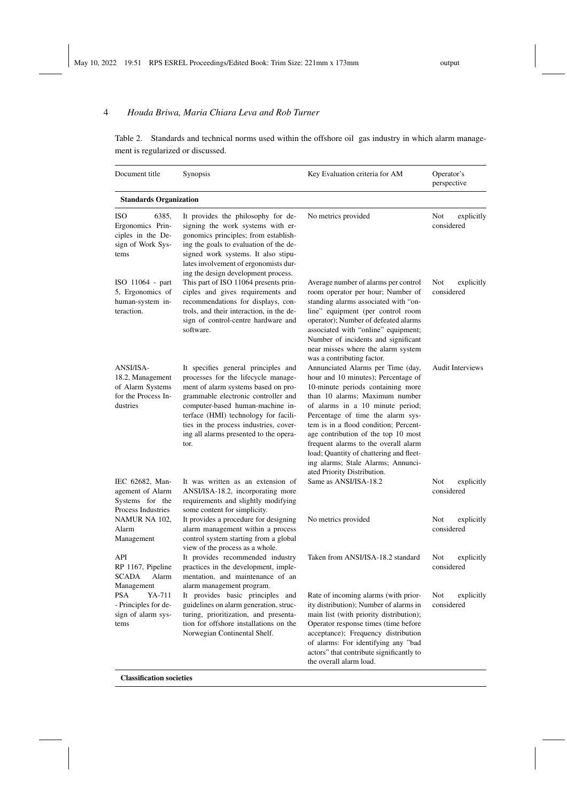<span id="page-3-0"></span>Table 2. Standards and technical norms used within the offshore oil gas industry in which alarm management is regularized or discussed.

| Document title                                                                            | Synopsis                                                                                                                                                                                                                                                                                                                         | Key Evaluation criteria for AM                                                                                                                                                                                                                                                                                                                                                                                                                                   | Operator's<br>perspective       |  |  |  |  |
|-------------------------------------------------------------------------------------------|----------------------------------------------------------------------------------------------------------------------------------------------------------------------------------------------------------------------------------------------------------------------------------------------------------------------------------|------------------------------------------------------------------------------------------------------------------------------------------------------------------------------------------------------------------------------------------------------------------------------------------------------------------------------------------------------------------------------------------------------------------------------------------------------------------|---------------------------------|--|--|--|--|
| <b>Standards Organization</b>                                                             |                                                                                                                                                                                                                                                                                                                                  |                                                                                                                                                                                                                                                                                                                                                                                                                                                                  |                                 |  |  |  |  |
| <b>ISO</b><br>6385,<br>Ergonomics Prin-<br>ciples in the De-<br>sign of Work Sys-<br>tems | It provides the philosophy for de-<br>signing the work systems with er-<br>gonomics principles; from establish-<br>ing the goals to evaluation of the de-<br>signed work systems. It also stipu-<br>lates involvement of ergonomists dur-<br>ing the design development process.                                                 | No metrics provided                                                                                                                                                                                                                                                                                                                                                                                                                                              | Not<br>explicitly<br>considered |  |  |  |  |
| ISO 11064 - part<br>5, Ergonomics of<br>human-system in-<br>teraction.                    | This part of ISO 11064 presents prin-<br>ciples and gives requirements and<br>recommendations for displays, con-<br>trols, and their interaction, in the de-<br>sign of control-centre hardware and<br>software.                                                                                                                 | Average number of alarms per control<br>room operator per hour; Number of<br>standing alarms associated with "on-<br>line" equipment (per control room<br>operator); Number of defeated alarms<br>associated with "online" equipment;<br>Number of incidents and significant<br>near misses where the alarm system<br>was a contributing factor.                                                                                                                 | Not<br>explicitly<br>considered |  |  |  |  |
| ANSI/ISA-<br>18.2, Management<br>of Alarm Systems<br>for the Process In-<br>dustries      | It specifies general principles and<br>processes for the lifecycle manage-<br>ment of alarm systems based on pro-<br>grammable electronic controller and<br>computer-based human-machine in-<br>terface (HMI) technology for facili-<br>ties in the process industries, cover-<br>ing all alarms presented to the opera-<br>tor. | Annunciated Alarms per Time (day,<br>hour and 10 minutes); Percentage of<br>10-minute periods containing more<br>than 10 alarms; Maximum number<br>of alarms in a 10 minute period;<br>Percentage of time the alarm sys-<br>tem is in a flood condition; Percent-<br>age contribution of the top 10 most<br>frequent alarms to the overall alarm<br>load; Quantity of chattering and fleet-<br>ing alarms; Stale Alarms; Annunci-<br>ated Priority Distribution. | <b>Audit Interviews</b>         |  |  |  |  |
| IEC 62682, Man-<br>agement of Alarm<br>Systems for the<br>Process Industries              | It was written as an extension of<br>ANSI/ISA-18.2, incorporating more<br>requirements and slightly modifying<br>some content for simplicity.                                                                                                                                                                                    | Same as ANSI/ISA-18.2                                                                                                                                                                                                                                                                                                                                                                                                                                            | explicitly<br>Not<br>considered |  |  |  |  |
| NAMUR NA 102,<br>Alarm<br>Management                                                      | It provides a procedure for designing<br>alarm management within a process<br>control system starting from a global<br>view of the process as a whole.                                                                                                                                                                           | No metrics provided                                                                                                                                                                                                                                                                                                                                                                                                                                              | Not<br>explicitly<br>considered |  |  |  |  |
| API<br>RP 1167, Pipeline<br><b>SCADA</b><br>Alarm<br>Management                           | It provides recommended industry<br>practices in the development, imple-<br>mentation, and maintenance of an<br>alarm management program.                                                                                                                                                                                        | Taken from ANSI/ISA-18.2 standard                                                                                                                                                                                                                                                                                                                                                                                                                                | Not<br>explicitly<br>considered |  |  |  |  |
| <b>PSA</b><br>YA-711<br>- Principles for de-<br>sign of alarm sys-<br>tems                | It provides basic principles and<br>guidelines on alarm generation, struc-<br>turing, prioritization, and presenta-<br>tion for offshore installations on the<br>Norwegian Continental Shelf.                                                                                                                                    | Rate of incoming alarms (with prior-<br>ity distribution); Number of alarms in<br>main list (with priority distribution);<br>Operator response times (time before<br>acceptance); Frequency distribution<br>of alarms: For identifying any "bad<br>actors" that contribute significantly to<br>the overall alarm load.                                                                                                                                           | Not<br>explicitly<br>considered |  |  |  |  |

Classification societies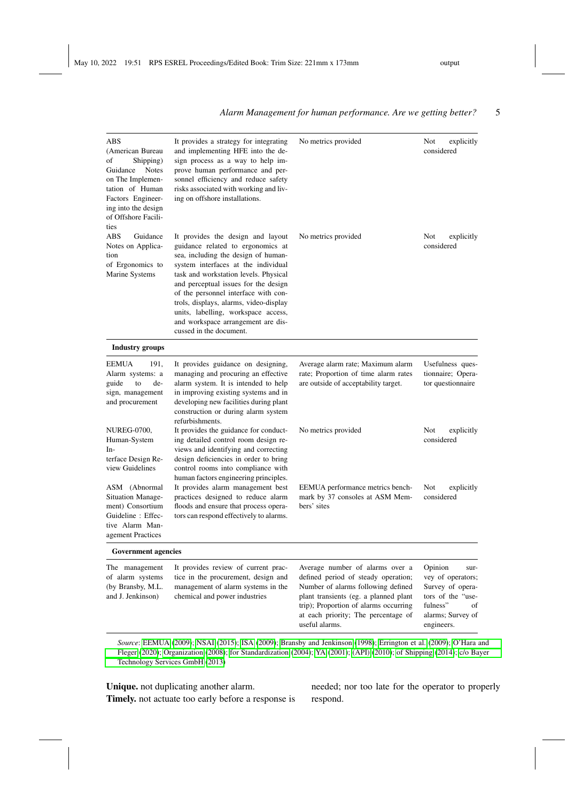#### ABS (American Bureau of Shipping) Guidance Notes on The Implementation of Human Factors Engineering into the design of Offshore Facilities It provides a strategy for integrating and implementing HFE into the design process as a way to help improve human performance and personnel efficiency and reduce safety risks associated with working and living on offshore installations. No metrics provided Not explicitly considered ABS Guidance Notes on Application of Ergonomics to Marine Systems It provides the design and layout guidance related to ergonomics at sea, including the design of humansystem interfaces at the individual task and workstation levels. Physical and perceptual issues for the design of the personnel interface with controls, displays, alarms, video-display units, labelling, workspace access, and workspace arrangement are discussed in the document. No metrics provided Not explicitly considered Industry groups EEMUA 191, Alarm systems: a guide to design, management and procurement It provides guidance on designing, managing and procuring an effective alarm system. It is intended to help in improving existing systems and in developing new facilities during plant construction or during alarm system refurbishments. Average alarm rate; Maximum alarm rate; Proportion of time alarm rates are outside of acceptability target. Usefulness questionnaire; Operator questionnaire NUREG-0700, Human-System Interface Design Review Guidelines It provides the guidance for conducting detailed control room design reviews and identifying and correcting design deficiencies in order to bring control rooms into compliance with human factors engineering principles. No metrics provided Not explicitly considered ASM (Abnormal Situation Management) Consortium Guideline : Effective Alarm Management Practices It provides alarm management best practices designed to reduce alarm floods and ensure that process operators can respond effectively to alarms. EEMUA performance metrics benchmark by 37 consoles at ASM Members' sites Not explicitly considered Government agencies The management of alarm systems (by Bransby, M.L. and J. Jenkinson) It provides review of current practice in the procurement, design and management of alarm systems in the chemical and power industries Average number of alarms over a defined period of steady operation; Number of alarms following defined plant transients (eg. a planned plant trip); Proportion of alarms occurring Opinion survey of operators; Survey of operators of the "usefulness" of

#### *Alarm Management for human performance. Are we getting better?* 5

*Source*: [EEMUA](#page-9-11) [\(2009\)](#page-9-11); [NSAI](#page-9-13) [\(2015\)](#page-9-13); [ISA](#page-9-0) [\(2009\)](#page-9-0); [Bransby and Jenkinson](#page-9-14) [\(1998\)](#page-9-14); [Errington et al.](#page-9-16) [\(2009\)](#page-9-16); [O'Hara and](#page-9-17) [Fleger](#page-9-17) [\(2020\)](#page-9-17); [Organization](#page-9-18) [\(2008\)](#page-9-18); [for Standardization](#page-9-19) [\(2004\)](#page-9-19); [YA](#page-10-1) [\(2001\)](#page-10-1); [\(API\)](#page-9-20) [\(2010\)](#page-9-20); [of Shipping](#page-9-21) [\(2014\)](#page-9-21); [c/o Bayer](#page-9-22) [Technology Services GmbH](#page-9-22) [\(2013\)](#page-9-22)

useful alarms.

at each priority; The percentage of

Unique. not duplicating another alarm. Timely. not actuate too early before a response is needed; nor too late for the operator to properly respond.

alarms; Survey of engineers.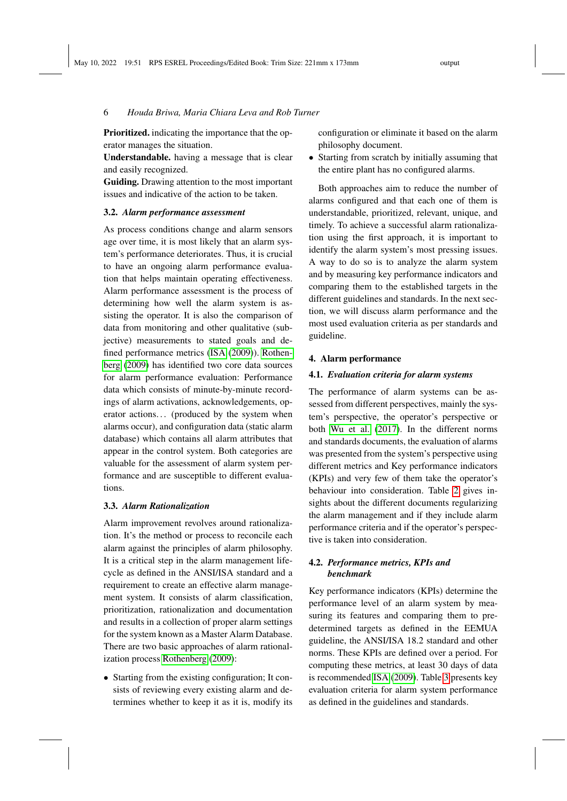Prioritized. indicating the importance that the operator manages the situation.

Understandable. having a message that is clear and easily recognized.

Guiding. Drawing attention to the most important issues and indicative of the action to be taken.

## 3.2. *Alarm performance assessment*

As process conditions change and alarm sensors age over time, it is most likely that an alarm system's performance deteriorates. Thus, it is crucial to have an ongoing alarm performance evaluation that helps maintain operating effectiveness. Alarm performance assessment is the process of determining how well the alarm system is assisting the operator. It is also the comparison of data from monitoring and other qualitative (subjective) measurements to stated goals and defined performance metrics [\(ISA](#page-9-0) [\(2009\)](#page-9-0)). [Rothen](#page-9-12)[berg](#page-9-12) [\(2009\)](#page-9-12) has identified two core data sources for alarm performance evaluation: Performance data which consists of minute-by-minute recordings of alarm activations, acknowledgements, operator actions... (produced by the system when alarms occur), and configuration data (static alarm database) which contains all alarm attributes that appear in the control system. Both categories are valuable for the assessment of alarm system performance and are susceptible to different evaluations.

#### 3.3. *Alarm Rationalization*

Alarm improvement revolves around rationalization. It's the method or process to reconcile each alarm against the principles of alarm philosophy. It is a critical step in the alarm management lifecycle as defined in the ANSI/ISA standard and a requirement to create an effective alarm management system. It consists of alarm classification, prioritization, rationalization and documentation and results in a collection of proper alarm settings for the system known as a Master Alarm Database. There are two basic approaches of alarm rationalization process [Rothenberg](#page-9-12) [\(2009\)](#page-9-12):

• Starting from the existing configuration; It consists of reviewing every existing alarm and determines whether to keep it as it is, modify its configuration or eliminate it based on the alarm philosophy document.

• Starting from scratch by initially assuming that the entire plant has no configured alarms.

Both approaches aim to reduce the number of alarms configured and that each one of them is understandable, prioritized, relevant, unique, and timely. To achieve a successful alarm rationalization using the first approach, it is important to identify the alarm system's most pressing issues. A way to do so is to analyze the alarm system and by measuring key performance indicators and comparing them to the established targets in the different guidelines and standards. In the next section, we will discuss alarm performance and the most used evaluation criteria as per standards and guideline.

#### <span id="page-5-0"></span>4. Alarm performance

#### 4.1. *Evaluation criteria for alarm systems*

The performance of alarm systems can be assessed from different perspectives, mainly the system's perspective, the operator's perspective or both [Wu et al.](#page-10-2) [\(2017\)](#page-10-2). In the different norms and standards documents, the evaluation of alarms was presented from the system's perspective using different metrics and Key performance indicators (KPIs) and very few of them take the operator's behaviour into consideration. Table [2](#page-3-0) gives insights about the different documents regularizing the alarm management and if they include alarm performance criteria and if the operator's perspective is taken into consideration.

## 4.2. *Performance metrics, KPIs and benchmark*

Key performance indicators (KPIs) determine the performance level of an alarm system by measuring its features and comparing them to predetermined targets as defined in the EEMUA guideline, the ANSI/ISA 18.2 standard and other norms. These KPIs are defined over a period. For computing these metrics, at least 30 days of data is recommended [ISA](#page-9-0) [\(2009\)](#page-9-0). Table [3](#page-6-0) presents key evaluation criteria for alarm system performance as defined in the guidelines and standards.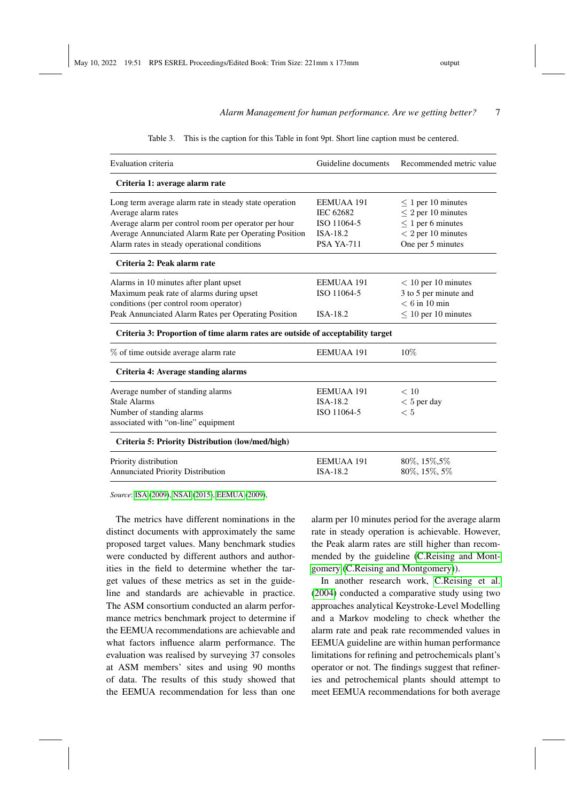| Table 3. This is the caption for this Table in font 9pt. Short line caption must be centered. |  |  |
|-----------------------------------------------------------------------------------------------|--|--|
|                                                                                               |  |  |

<span id="page-6-0"></span>

| Evaluation criteria                                                            | Guideline documents | Recommended metric value |  |
|--------------------------------------------------------------------------------|---------------------|--------------------------|--|
| Criteria 1: average alarm rate                                                 |                     |                          |  |
| Long term average alarm rate in steady state operation                         | EEMUAA 191          | $\leq 1$ per 10 minutes  |  |
| Average alarm rates                                                            | <b>IEC 62682</b>    | $\leq$ 2 per 10 minutes  |  |
| Average alarm per control room per operator per hour                           | ISO 11064-5         | $\leq$ 1 per 6 minutes   |  |
| Average Annunciated Alarm Rate per Operating Position                          | ISA-18.2            | $< 2$ per 10 minutes     |  |
| Alarm rates in steady operational conditions                                   | <b>PSA YA-711</b>   | One per 5 minutes        |  |
| Criteria 2: Peak alarm rate                                                    |                     |                          |  |
| Alarms in 10 minutes after plant upset                                         | EEMUAA 191          | $< 10$ per 10 minutes    |  |
| Maximum peak rate of alarms during upset                                       | ISO 11064-5         | 3 to 5 per minute and    |  |
| conditions (per control room operator)                                         |                     | $< 6$ in 10 min          |  |
| Peak Annunciated Alarm Rates per Operating Position                            | ISA-18.2            | $\leq 10$ per 10 minutes |  |
| Criteria 3: Proportion of time alarm rates are outside of acceptability target |                     |                          |  |
| % of time outside average alarm rate                                           | <b>EEMUAA 191</b>   | 10%                      |  |
| Criteria 4: Average standing alarms                                            |                     |                          |  |
| Average number of standing alarms                                              | <b>EEMUAA 191</b>   | < 10                     |  |
| <b>Stale Alarms</b>                                                            | ISA-18.2            | $< 5$ per day            |  |
| Number of standing alarms                                                      | ISO 11064-5         | < 5                      |  |
| associated with "on-line" equipment                                            |                     |                          |  |
| <b>Criteria 5: Priority Distribution (low/med/high)</b>                        |                     |                          |  |
| Priority distribution                                                          | <b>EEMUAA 191</b>   | 80\%, 15\%, 5\%          |  |
| Annunciated Priority Distribution                                              | ISA-18.2            | 80%, 15%, 5%             |  |

*Source*: [ISA](#page-9-0) [\(2009\)](#page-9-0), [NSAI](#page-9-13) [\(2015\)](#page-9-13), [EEMUA](#page-9-11) [\(2009\)](#page-9-11),

The metrics have different nominations in the distinct documents with approximately the same proposed target values. Many benchmark studies were conducted by different authors and authorities in the field to determine whether the target values of these metrics as set in the guideline and standards are achievable in practice. The ASM consortium conducted an alarm performance metrics benchmark project to determine if the EEMUA recommendations are achievable and what factors influence alarm performance. The evaluation was realised by surveying 37 consoles at ASM members' sites and using 90 months of data. The results of this study showed that the EEMUA recommendation for less than one

alarm per 10 minutes period for the average alarm rate in steady operation is achievable. However, the Peak alarm rates are still higher than recommended by the guideline [\(C.Reising and Mont](#page-9-23)[gomery](#page-9-23) [\(C.Reising and Montgomery\)](#page-9-23)).

In another research work, [C.Reising et al.](#page-9-24) [\(2004\)](#page-9-24) conducted a comparative study using two approaches analytical Keystroke-Level Modelling and a Markov modeling to check whether the alarm rate and peak rate recommended values in EEMUA guideline are within human performance limitations for refining and petrochemicals plant's operator or not. The findings suggest that refineries and petrochemical plants should attempt to meet EEMUA recommendations for both average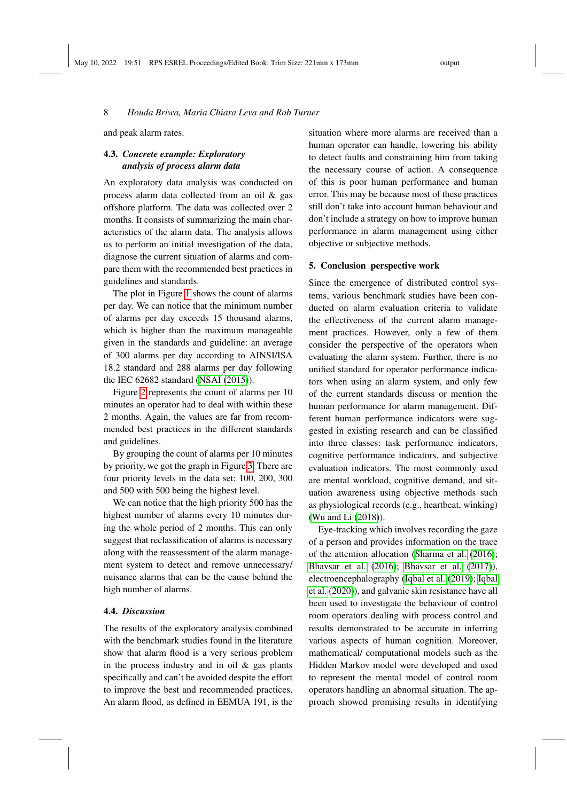and peak alarm rates.

# 4.3. *Concrete example: Exploratory analysis of process alarm data*

An exploratory data analysis was conducted on process alarm data collected from an oil & gas offshore platform. The data was collected over 2 months. It consists of summarizing the main characteristics of the alarm data. The analysis allows us to perform an initial investigation of the data, diagnose the current situation of alarms and compare them with the recommended best practices in guidelines and standards.

The plot in Figure [1](#page-8-0) shows the count of alarms per day. We can notice that the minimum number of alarms per day exceeds 15 thousand alarms, which is higher than the maximum manageable given in the standards and guideline: an average of 300 alarms per day according to AINSI/ISA 18.2 standard and 288 alarms per day following the IEC 62682 standard [\(NSAI](#page-9-13) [\(2015\)](#page-9-13)).

Figure [2](#page-8-1) represents the count of alarms per 10 minutes an operator had to deal with within these 2 months. Again, the values are far from recommended best practices in the different standards and guidelines.

By grouping the count of alarms per 10 minutes by priority, we got the graph in Figure [3.](#page-8-2) There are four priority levels in the data set: 100, 200, 300 and 500 with 500 being the highest level.

We can notice that the high priority 500 has the highest number of alarms every 10 minutes during the whole period of 2 months. This can only suggest that reclassification of alarms is necessary along with the reassessment of the alarm management system to detect and remove unnecessary/ nuisance alarms that can be the cause behind the high number of alarms.

#### 4.4. *Discussion*

The results of the exploratory analysis combined with the benchmark studies found in the literature show that alarm flood is a very serious problem in the process industry and in oil  $\&$  gas plants specifically and can't be avoided despite the effort to improve the best and recommended practices. An alarm flood, as defined in EEMUA 191, is the

situation where more alarms are received than a human operator can handle, lowering his ability to detect faults and constraining him from taking the necessary course of action. A consequence of this is poor human performance and human error. This may be because most of these practices still don't take into account human behaviour and don't include a strategy on how to improve human performance in alarm management using either objective or subjective methods.

#### 5. Conclusion perspective work

Since the emergence of distributed control systems, various benchmark studies have been conducted on alarm evaluation criteria to validate the effectiveness of the current alarm management practices. However, only a few of them consider the perspective of the operators when evaluating the alarm system. Further, there is no unified standard for operator performance indicators when using an alarm system, and only few of the current standards discuss or mention the human performance for alarm management. Different human performance indicators were suggested in existing research and can be classified into three classes: task performance indicators, cognitive performance indicators, and subjective evaluation indicators. The most commonly used are mental workload, cognitive demand, and situation awareness using objective methods such as physiological records (e.g., heartbeat, winking) [\(Wu and Li](#page-10-3) [\(2018\)](#page-10-3)).

Eye-tracking which involves recording the gaze of a person and provides information on the trace of the attention allocation [\(Sharma et al.](#page-10-4) [\(2016\)](#page-10-4); [Bhavsar et al.](#page-9-25) [\(2016\)](#page-9-25); [Bhavsar et al.](#page-9-26) [\(2017\)](#page-9-26)), electroencephalography [\(Iqbal et al.](#page-9-27) [\(2019\)](#page-9-27); [Iqbal](#page-9-28) [et al.](#page-9-28) [\(2020\)](#page-9-28)), and galvanic skin resistance have all been used to investigate the behaviour of control room operators dealing with process control and results demonstrated to be accurate in inferring various aspects of human cognition. Moreover, mathematical/ computational models such as the Hidden Markov model were developed and used to represent the mental model of control room operators handling an abnormal situation. The approach showed promising results in identifying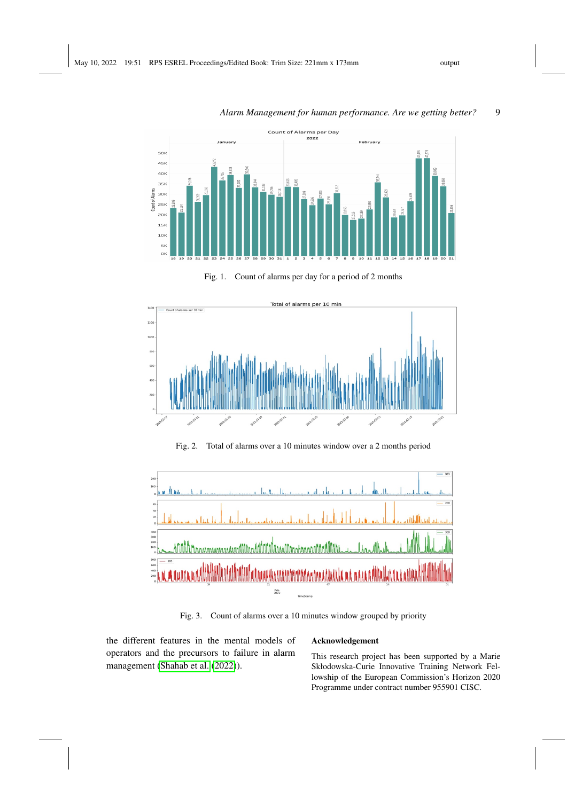

Fig. 1. Count of alarms per day for a period of 2 months



Fig. 2. Total of alarms over a 10 minutes window over a 2 months period



Fig. 3. Count of alarms over a 10 minutes window grouped by priority

the different features in the mental models of operators and the precursors to failure in alarm management [\(Shahab et al.](#page-10-5) [\(2022\)](#page-10-5)).

# <span id="page-8-2"></span><span id="page-8-1"></span>Acknowledgement

This research project has been supported by a Marie Skłodowska-Curie Innovative Training Network Fellowship of the European Commission's Horizon 2020 Programme under contract number 955901 CISC.

<span id="page-8-0"></span>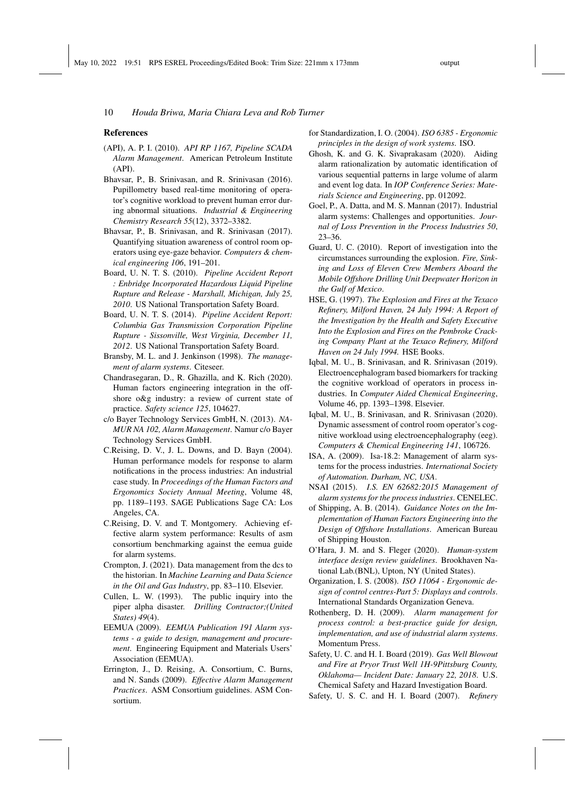#### References

- <span id="page-9-20"></span>(API), A. P. I. (2010). *API RP 1167, Pipeline SCADA Alarm Management*. American Petroleum Institute (API).
- <span id="page-9-25"></span>Bhavsar, P., B. Srinivasan, and R. Srinivasan (2016). Pupillometry based real-time monitoring of operator's cognitive workload to prevent human error during abnormal situations. *Industrial & Engineering Chemistry Research 55*(12), 3372–3382.
- <span id="page-9-26"></span>Bhavsar, P., B. Srinivasan, and R. Srinivasan (2017). Quantifying situation awareness of control room operators using eye-gaze behavior. *Computers & chemical engineering 106*, 191–201.
- <span id="page-9-8"></span>Board, U. N. T. S. (2010). *Pipeline Accident Report : Enbridge Incorporated Hazardous Liquid Pipeline Rupture and Release - Marshall, Michigan, July 25, 2010*. US National Transportation Safety Board.
- <span id="page-9-9"></span>Board, U. N. T. S. (2014). *Pipeline Accident Report: Columbia Gas Transmission Corporation Pipeline Rupture - Sissonville, West Virginia, December 11, 2012*. US National Transportation Safety Board.
- <span id="page-9-14"></span>Bransby, M. L. and J. Jenkinson (1998). *The management of alarm systems*. Citeseer.
- <span id="page-9-15"></span>Chandrasegaran, D., R. Ghazilla, and K. Rich (2020). Human factors engineering integration in the offshore o&g industry: a review of current state of practice. *Safety science 125*, 104627.
- <span id="page-9-22"></span>c/o Bayer Technology Services GmbH, N. (2013). *NA-MUR NA 102, Alarm Management*. Namur c/o Bayer Technology Services GmbH.
- <span id="page-9-24"></span>C.Reising, D. V., J. L. Downs, and D. Bayn (2004). Human performance models for response to alarm notifications in the process industries: An industrial case study. In *Proceedings of the Human Factors and Ergonomics Society Annual Meeting*, Volume 48, pp. 1189–1193. SAGE Publications Sage CA: Los Angeles, CA.
- <span id="page-9-23"></span>C.Reising, D. V. and T. Montgomery. Achieving effective alarm system performance: Results of asm consortium benchmarking against the eemua guide for alarm systems.
- <span id="page-9-1"></span>Crompton, J. (2021). Data management from the dcs to the historian. In *Machine Learning and Data Science in the Oil and Gas Industry*, pp. 83–110. Elsevier.
- <span id="page-9-2"></span>Cullen, L. W. (1993). The public inquiry into the piper alpha disaster. *Drilling Contractor;(United States) 49*(4).
- <span id="page-9-11"></span>EEMUA (2009). *EEMUA Publication 191 Alarm systems - a guide to design, management and procurement*. Engineering Equipment and Materials Users' Association (EEMUA).
- <span id="page-9-16"></span>Errington, J., D. Reising, A. Consortium, C. Burns, and N. Sands (2009). *Effective Alarm Management Practices*. ASM Consortium guidelines. ASM Consortium.
- <span id="page-9-19"></span>for Standardization, I. O. (2004). *ISO 6385 - Ergonomic principles in the design of work systems*. ISO.
- <span id="page-9-10"></span>Ghosh, K. and G. K. Sivaprakasam (2020). Aiding alarm rationalization by automatic identification of various sequential patterns in large volume of alarm and event log data. In *IOP Conference Series: Materials Science and Engineering*, pp. 012092.
- <span id="page-9-7"></span>Goel, P., A. Datta, and M. S. Mannan (2017). Industrial alarm systems: Challenges and opportunities. *Journal of Loss Prevention in the Process Industries 50*, 23–36.
- <span id="page-9-5"></span>Guard, U. C. (2010). Report of investigation into the circumstances surrounding the explosion. *Fire, Sinking and Loss of Eleven Crew Members Aboard the Mobile Offshore Drilling Unit Deepwater Horizon in the Gulf of Mexico*.
- <span id="page-9-3"></span>HSE, G. (1997). *The Explosion and Fires at the Texaco Refinery, Milford Haven, 24 July 1994: A Report of the Investigation by the Health and Safety Executive Into the Explosion and Fires on the Pembroke Cracking Company Plant at the Texaco Refinery, Milford Haven on 24 July 1994.* HSE Books.
- <span id="page-9-27"></span>Iqbal, M. U., B. Srinivasan, and R. Srinivasan (2019). Electroencephalogram based biomarkers for tracking the cognitive workload of operators in process industries. In *Computer Aided Chemical Engineering*, Volume 46, pp. 1393–1398. Elsevier.
- <span id="page-9-28"></span>Iqbal, M. U., B. Srinivasan, and R. Srinivasan (2020). Dynamic assessment of control room operator's cognitive workload using electroencephalography (eeg). *Computers & Chemical Engineering 141*, 106726.
- <span id="page-9-0"></span>ISA, A. (2009). Isa-18.2: Management of alarm systems for the process industries. *International Society of Automation. Durham, NC, USA*.
- <span id="page-9-13"></span>NSAI (2015). *I.S. EN 62682:2015 Management of alarm systems for the process industries*. CENELEC.
- <span id="page-9-21"></span>of Shipping, A. B. (2014). *Guidance Notes on the Implementation of Human Factors Engineering into the Design of Offshore Installations*. American Bureau of Shipping Houston.
- <span id="page-9-17"></span>O'Hara, J. M. and S. Fleger (2020). *Human-system interface design review guidelines*. Brookhaven National Lab.(BNL), Upton, NY (United States).
- <span id="page-9-18"></span>Organization, I. S. (2008). *ISO 11064 - Ergonomic design of control centres-Part 5: Displays and controls*. International Standards Organization Geneva.
- <span id="page-9-12"></span>Rothenberg, D. H. (2009). *Alarm management for process control: a best-practice guide for design, implementation, and use of industrial alarm systems*. Momentum Press.
- <span id="page-9-6"></span>Safety, U. C. and H. I. Board (2019). *Gas Well Blowout and Fire at Pryor Trust Well 1H-9Pittsburg County, Oklahoma— Incident Date: January 22, 2018*. U.S. Chemical Safety and Hazard Investigation Board.
- <span id="page-9-4"></span>Safety, U. S. C. and H. I. Board (2007). *Refinery*